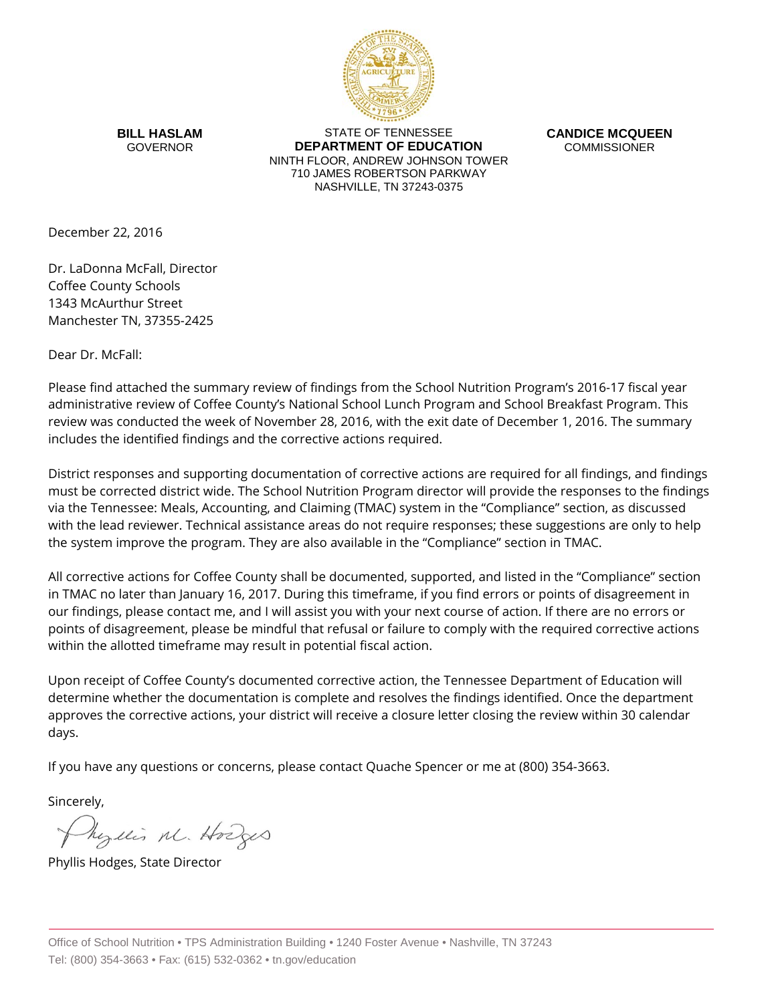

**BILL HASLAM** GOVERNOR

STATE OF TENNESSEE **DEPARTMENT OF EDUCATION** NINTH FLOOR, ANDREW JOHNSON TOWER 710 JAMES ROBERTSON PARKWAY NASHVILLE, TN 37243-0375

**CANDICE MCQUEEN** COMMISSIONER

December 22, 2016

Dr. LaDonna McFall, Director Coffee County Schools 1343 McAurthur Street Manchester TN, 37355-2425

Dear Dr. McFall:

Please find attached the summary review of findings from the School Nutrition Program's 2016-17 fiscal year administrative review of Coffee County's National School Lunch Program and School Breakfast Program. This review was conducted the week of November 28, 2016, with the exit date of December 1, 2016. The summary includes the identified findings and the corrective actions required.

District responses and supporting documentation of corrective actions are required for all findings, and findings must be corrected district wide. The School Nutrition Program director will provide the responses to the findings via the Tennessee: Meals, Accounting, and Claiming (TMAC) system in the "Compliance" section, as discussed with the lead reviewer. Technical assistance areas do not require responses; these suggestions are only to help the system improve the program. They are also available in the "Compliance" section in TMAC.

All corrective actions for Coffee County shall be documented, supported, and listed in the "Compliance" section in TMAC no later than January 16, 2017. During this timeframe, if you find errors or points of disagreement in our findings, please contact me, and I will assist you with your next course of action. If there are no errors or points of disagreement, please be mindful that refusal or failure to comply with the required corrective actions within the allotted timeframe may result in potential fiscal action.

Upon receipt of Coffee County's documented corrective action, the Tennessee Department of Education will determine whether the documentation is complete and resolves the findings identified. Once the department approves the corrective actions, your district will receive a closure letter closing the review within 30 calendar days.

If you have any questions or concerns, please contact Quache Spencer or me at (800) 354-3663.

Sincerely,

Myllis M. Hodges

Phyllis Hodges, State Director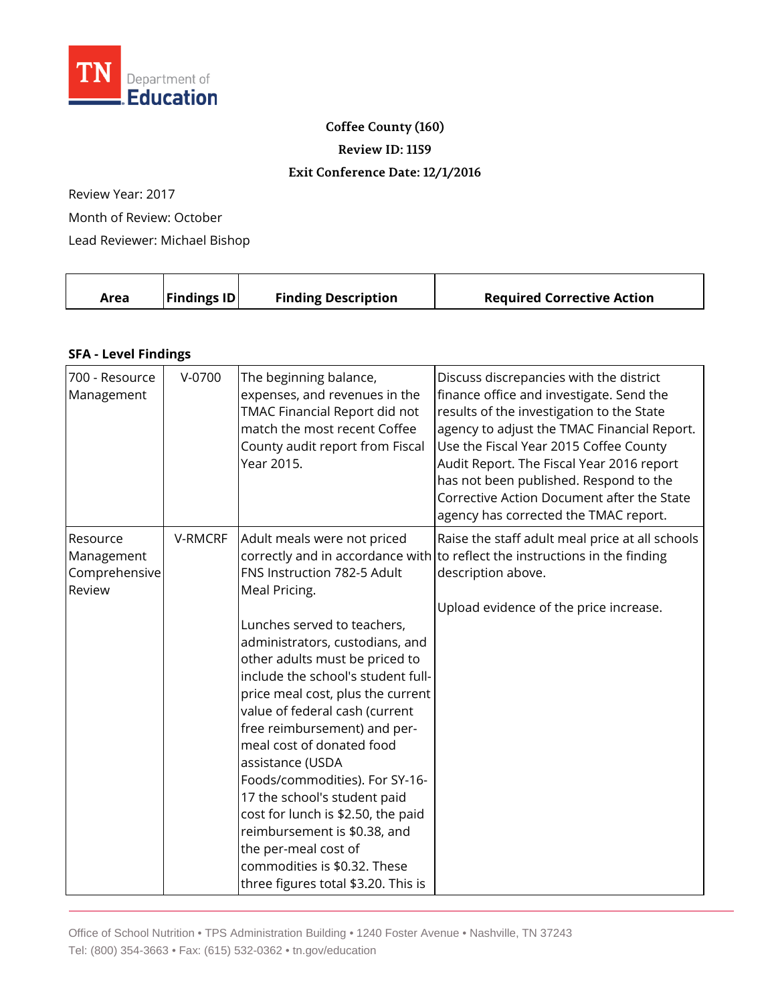

## **Coffee County (160)**

**Review ID: 1159**

## **Exit Conference Date: 12/1/2016**

Review Year: 2017

Month of Review: October

Lead Reviewer: Michael Bishop

| Area | <b>Findings ID</b> | <b>Finding Description</b> | <b>Required Corrective Action</b> |
|------|--------------------|----------------------------|-----------------------------------|
|      |                    |                            |                                   |

## **SFA - Level Findings**

| 700 - Resource<br>Management                      | V-0700  | The beginning balance,<br>expenses, and revenues in the<br>TMAC Financial Report did not<br>match the most recent Coffee<br>County audit report from Fiscal<br>Year 2015.                                                                                                                                                                                                                                                                                                                                                                                                                                            | Discuss discrepancies with the district<br>finance office and investigate. Send the<br>results of the investigation to the State<br>agency to adjust the TMAC Financial Report.<br>Use the Fiscal Year 2015 Coffee County<br>Audit Report. The Fiscal Year 2016 report<br>has not been published. Respond to the<br>Corrective Action Document after the State<br>agency has corrected the TMAC report. |
|---------------------------------------------------|---------|----------------------------------------------------------------------------------------------------------------------------------------------------------------------------------------------------------------------------------------------------------------------------------------------------------------------------------------------------------------------------------------------------------------------------------------------------------------------------------------------------------------------------------------------------------------------------------------------------------------------|---------------------------------------------------------------------------------------------------------------------------------------------------------------------------------------------------------------------------------------------------------------------------------------------------------------------------------------------------------------------------------------------------------|
| Resource<br>Management<br>Comprehensive<br>Review | V-RMCRF | Adult meals were not priced<br>FNS Instruction 782-5 Adult<br>Meal Pricing.<br>Lunches served to teachers,<br>administrators, custodians, and<br>other adults must be priced to<br>include the school's student full-<br>price meal cost, plus the current<br>value of federal cash (current<br>free reimbursement) and per-<br>meal cost of donated food<br>assistance (USDA<br>Foods/commodities). For SY-16-<br>17 the school's student paid<br>cost for lunch is \$2.50, the paid<br>reimbursement is \$0.38, and<br>the per-meal cost of<br>commodities is \$0.32. These<br>three figures total \$3.20. This is | Raise the staff adult meal price at all schools<br>correctly and in accordance with to reflect the instructions in the finding<br>description above.<br>Upload evidence of the price increase.                                                                                                                                                                                                          |